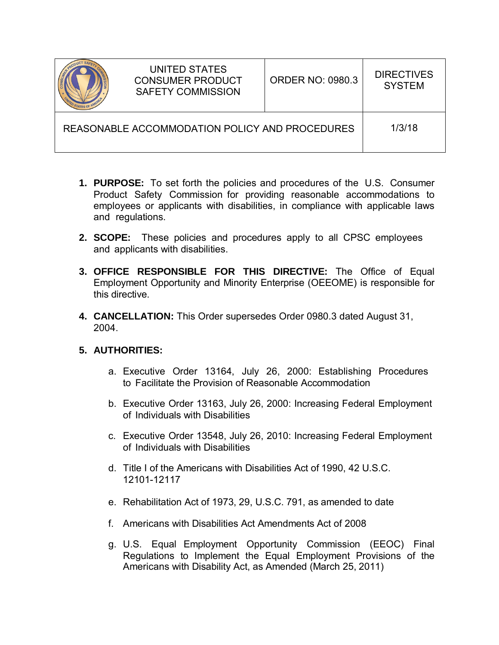

REASONABLE ACCOMMODATION POLICY AND PROCEDURES 173/18

- **1. PURPOSE:** To set forth the policies and procedures of the U.S. Consumer Product Safety Commission for providing reasonable accommodations to employees or applicants with disabilities, in compliance with applicable laws and regulations.
- **2. SCOPE:** These policies and procedures apply to all CPSC employees and applicants with disabilities.
- **3. OFFICE RESPONSIBLE FOR THIS DIRECTIVE:** The Office of Equal Employment Opportunity and Minority Enterprise (OEEOME) is responsible for this directive.
- **4. CANCELLATION:** This Order supersedes Order 0980.3 dated August 31, 2004.

## **5. AUTHORITIES:**

- a. Executive Order 13164, July 26, 2000: Establishing Procedures to Facilitate the Provision of Reasonable Accommodation
- b. Executive Order 13163, July 26, 2000: Increasing Federal Employment of Individuals with Disabilities
- c. Executive Order 13548, July 26, 2010: Increasing Federal Employment of Individuals with Disabilities
- d. Title I of the Americans with Disabilities Act of 1990, 42 U.S.C. 12101-12117
- e. Rehabilitation Act of 1973, 29, U.S.C. 791, as amended to date
- f. Americans with Disabilities Act Amendments Act of 2008
- g. U.S. Equal Employment Opportunity Commission (EEOC) Final Regulations to Implement the Equal Employment Provisions of the Americans with Disability Act, as Amended (March 25, 2011)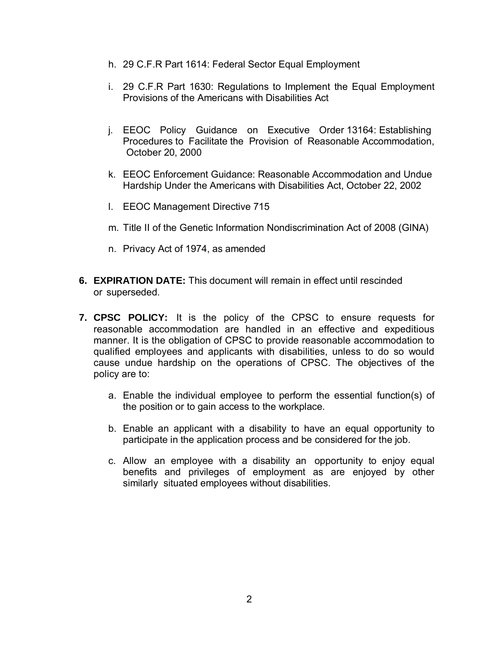- h. 29 C.F.R Part 1614: Federal Sector Equal Employment
- i. 29 C.F.R Part 1630: Regulations to Implement the Equal Employment Provisions of the Americans with Disabilities Act
- j. EEOC Policy Guidance on Executive Order 13164: Establishing Procedures to Facilitate the Provision of Reasonable Accommodation, October 20, 2000
- k. EEOC Enforcement Guidance: Reasonable Accommodation and Undue Hardship Under the Americans with Disabilities Act, October 22, 2002
- l. EEOC Management Directive 715
- m. Title II of the Genetic Information Nondiscrimination Act of 2008 (GINA)
- n. Privacy Act of 1974, as amended
- **6. EXPIRATION DATE:** This document will remain in effect until rescinded or superseded.
- **7. CPSC POLICY:** It is the policy of the CPSC to ensure requests for reasonable accommodation are handled in an effective and expeditious manner. It is the obligation of CPSC to provide reasonable accommodation to qualified employees and applicants with disabilities, unless to do so would cause undue hardship on the operations of CPSC. The objectives of the policy are to:
	- a. Enable the individual employee to perform the essential function(s) of the position or to gain access to the workplace.
	- b. Enable an applicant with a disability to have an equal opportunity to participate in the application process and be considered for the job.
	- c. Allow an employee with a disability an opportunity to enjoy equal benefits and privileges of employment as are enjoyed by other similarly situated employees without disabilities.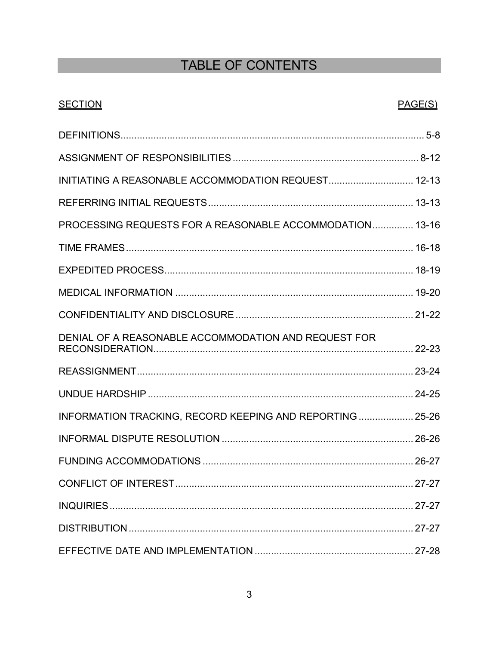# TABLE OF CONTENTS

## **SECTION**

## PAGE(S)

| INITIATING A REASONABLE ACCOMMODATION REQUEST 12-13      |  |
|----------------------------------------------------------|--|
|                                                          |  |
| PROCESSING REQUESTS FOR A REASONABLE ACCOMMODATION 13-16 |  |
|                                                          |  |
|                                                          |  |
|                                                          |  |
|                                                          |  |
| DENIAL OF A REASONABLE ACCOMMODATION AND REQUEST FOR     |  |
|                                                          |  |
|                                                          |  |
| INFORMATION TRACKING, RECORD KEEPING AND REPORTING 25-26 |  |
|                                                          |  |
|                                                          |  |
|                                                          |  |
|                                                          |  |
|                                                          |  |
|                                                          |  |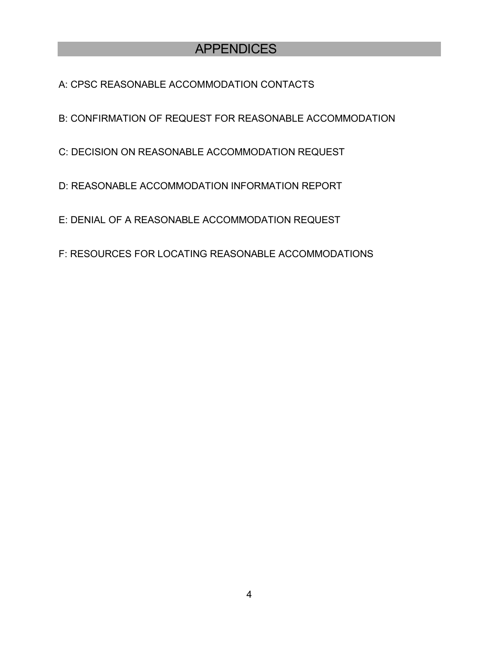## APPENDICES

A: CPSC REASONABLE ACCOMMODATION CONTACTS

B: CONFIRMATION OF REQUEST FOR REASONABLE ACCOMMODATION

C: DECISION ON REASONABLE ACCOMMODATION REQUEST

D: REASONABLE ACCOMMODATION INFORMATION REPORT

E: DENIAL OF A REASONABLE ACCOMMODATION REQUEST

F: RESOURCES FOR LOCATING REASONABLE ACCOMMODATIONS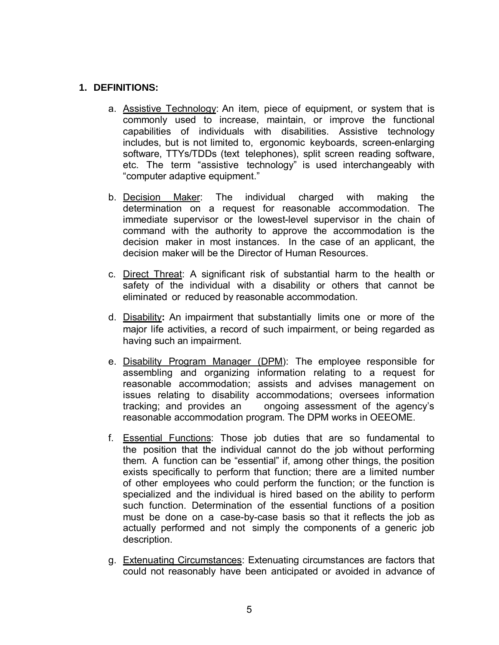#### **1. DEFINITIONS:**

- a. Assistive Technology: An item, piece of equipment, or system that is commonly used to increase, maintain, or improve the functional capabilities of individuals with disabilities. Assistive technology includes, but is not limited to, ergonomic keyboards, screen-enlarging software, TTYs/TDDs (text telephones), split screen reading software, etc. The term "assistive technology" is used interchangeably with "computer adaptive equipment."
- b. Decision Maker: The individual charged with making the determination on a request for reasonable accommodation. The immediate supervisor or the lowest-level supervisor in the chain of command with the authority to approve the accommodation is the decision maker in most instances. In the case of an applicant, the decision maker will be the Director of Human Resources.
- c. Direct Threat: A significant risk of substantial harm to the health or safety of the individual with a disability or others that cannot be eliminated or reduced by reasonable accommodation.
- d. Disability**:** An impairment that substantially limits one or more of the major life activities, a record of such impairment, or being regarded as having such an impairment.
- e. Disability Program Manager (DPM): The employee responsible for assembling and organizing information relating to a request for reasonable accommodation; assists and advises management on issues relating to disability accommodations; oversees information tracking; and provides an ongoing assessment of the agency's reasonable accommodation program. The DPM works in OEEOME.
- f. Essential Functions: Those job duties that are so fundamental to the position that the individual cannot do the job without performing them. A function can be "essential" if, among other things, the position exists specifically to perform that function; there are a limited number of other employees who could perform the function; or the function is specialized and the individual is hired based on the ability to perform such function. Determination of the essential functions of a position must be done on a case-by-case basis so that it reflects the job as actually performed and not simply the components of a generic job description.
- g. Extenuating Circumstances: Extenuating circumstances are factors that could not reasonably have been anticipated or avoided in advance of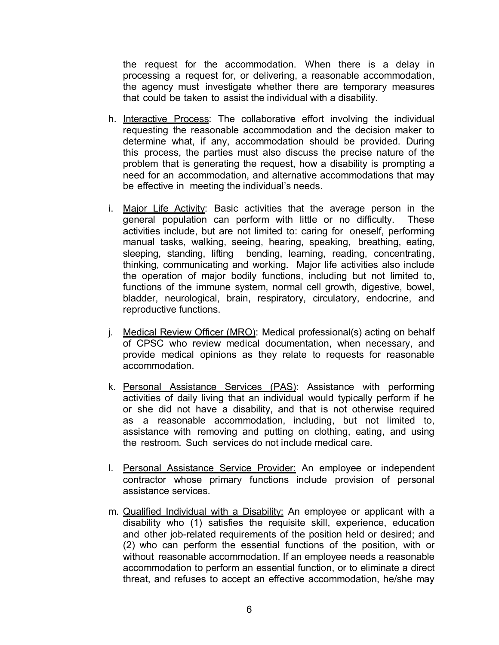the request for the accommodation. When there is a delay in processing a request for, or delivering, a reasonable accommodation, the agency must investigate whether there are temporary measures that could be taken to assist the individual with a disability.

- h. Interactive Process: The collaborative effort involving the individual requesting the reasonable accommodation and the decision maker to determine what, if any, accommodation should be provided. During this process, the parties must also discuss the precise nature of the problem that is generating the request, how a disability is prompting a need for an accommodation, and alternative accommodations that may be effective in meeting the individual's needs.
- i. Major Life Activity: Basic activities that the average person in the general population can perform with little or no difficulty. These activities include, but are not limited to: caring for oneself, performing manual tasks, walking, seeing, hearing, speaking, breathing, eating, sleeping, standing, lifting bending, learning, reading, concentrating, thinking, communicating and working. Major life activities also include the operation of major bodily functions, including but not limited to, functions of the immune system, normal cell growth, digestive, bowel, bladder, neurological, brain, respiratory, circulatory, endocrine, and reproductive functions.
- j. Medical Review Officer (MRO): Medical professional(s) acting on behalf of CPSC who review medical documentation, when necessary, and provide medical opinions as they relate to requests for reasonable accommodation.
- k. Personal Assistance Services (PAS): Assistance with performing activities of daily living that an individual would typically perform if he or she did not have a disability, and that is not otherwise required as a reasonable accommodation, including, but not limited to, assistance with removing and putting on clothing, eating, and using the restroom. Such services do not include medical care.
- l. Personal Assistance Service Provider: An employee or independent contractor whose primary functions include provision of personal assistance services.
- m. **Qualified Individual with a Disability:** An employee or applicant with a disability who (1) satisfies the requisite skill, experience, education and other job-related requirements of the position held or desired; and (2) who can perform the essential functions of the position, with or without reasonable accommodation. If an employee needs a reasonable accommodation to perform an essential function, or to eliminate a direct threat, and refuses to accept an effective accommodation, he/she may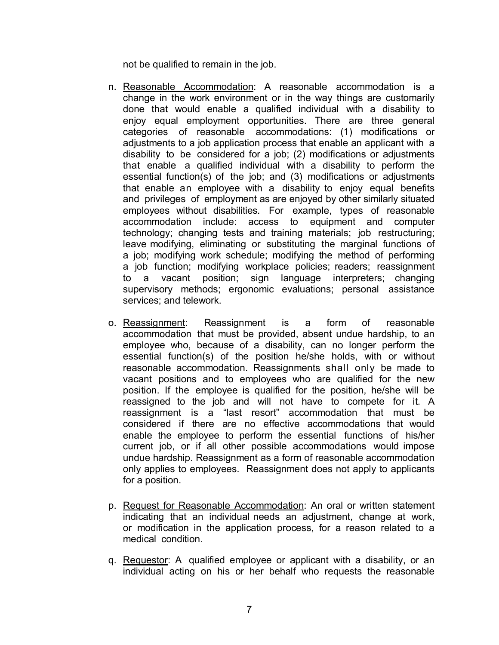not be qualified to remain in the job.

- n. Reasonable Accommodation: A reasonable accommodation is a change in the work environment or in the way things are customarily done that would enable a qualified individual with a disability to enjoy equal employment opportunities. There are three general categories of reasonable accommodations: (1) modifications or adjustments to a job application process that enable an applicant with a disability to be considered for a job; (2) modifications or adjustments that enable a qualified individual with a disability to perform the essential function(s) of the job; and (3) modifications or adjustments that enable an employee with a disability to enjoy equal benefits and privileges of employment as are enjoyed by other similarly situated employees without disabilities. For example, types of reasonable accommodation include: access to equipment and computer technology; changing tests and training materials; job restructuring; leave modifying, eliminating or substituting the marginal functions of a job; modifying work schedule; modifying the method of performing a job function; modifying workplace policies; readers; reassignment to a vacant position; sign language interpreters; changing supervisory methods; ergonomic evaluations; personal assistance services; and telework.
- o. Reassignment: Reassignment is a form of reasonable accommodation that must be provided, absent undue hardship, to an employee who, because of a disability, can no longer perform the essential function(s) of the position he/she holds, with or without reasonable accommodation. Reassignments shall only be made to vacant positions and to employees who are qualified for the new position. If the employee is qualified for the position, he/she will be reassigned to the job and will not have to compete for it. A reassignment is a "last resort" accommodation that must be considered if there are no effective accommodations that would enable the employee to perform the essential functions of his/her current job, or if all other possible accommodations would impose undue hardship. Reassignment as a form of reasonable accommodation only applies to employees. Reassignment does not apply to applicants for a position.
- p. Request for Reasonable Accommodation: An oral or written statement indicating that an individual needs an adjustment, change at work, or modification in the application process, for a reason related to a medical condition.
- q. Requestor: A qualified employee or applicant with a disability, or an individual acting on his or her behalf who requests the reasonable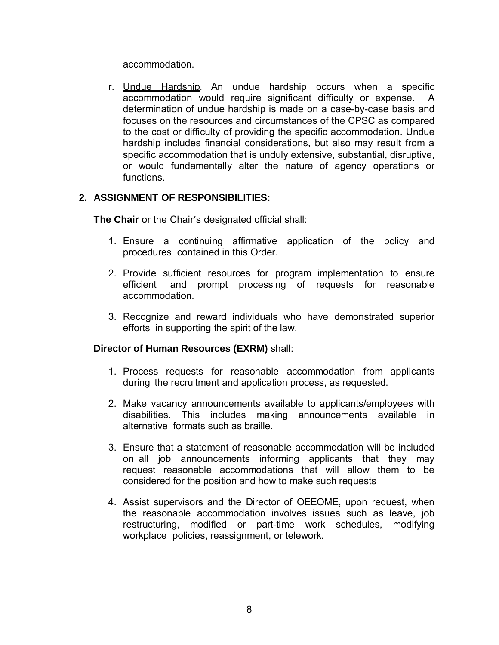accommodation.

r. Undue Hardship: An undue hardship occurs when a specific accommodation would require significant difficulty or expense. A determination of undue hardship is made on a case-by-case basis and focuses on the resources and circumstances of the CPSC as compared to the cost or difficulty of providing the specific accommodation. Undue hardship includes financial considerations, but also may result from a specific accommodation that is unduly extensive, substantial, disruptive, or would fundamentally alter the nature of agency operations or functions.

## **2. ASSIGNMENT OF RESPONSIBILITIES:**

**The Chair** or the Chair's designated official shall:

- 1. Ensure a continuing affirmative application of the policy and procedures contained in this Order.
- 2. Provide sufficient resources for program implementation to ensure efficient and prompt processing of requests for reasonable accommodation.
- 3. Recognize and reward individuals who have demonstrated superior efforts in supporting the spirit of the law.

## **Director of Human Resources (EXRM)** shall:

- 1. Process requests for reasonable accommodation from applicants during the recruitment and application process, as requested.
- 2. Make vacancy announcements available to applicants/employees with disabilities. This includes making announcements available in alternative formats such as braille.
- 3. Ensure that a statement of reasonable accommodation will be included on all job announcements informing applicants that they may request reasonable accommodations that will allow them to be considered for the position and how to make such requests
- 4. Assist supervisors and the Director of OEEOME, upon request, when the reasonable accommodation involves issues such as leave, job restructuring, modified or part-time work schedules, modifying workplace policies, reassignment, or telework.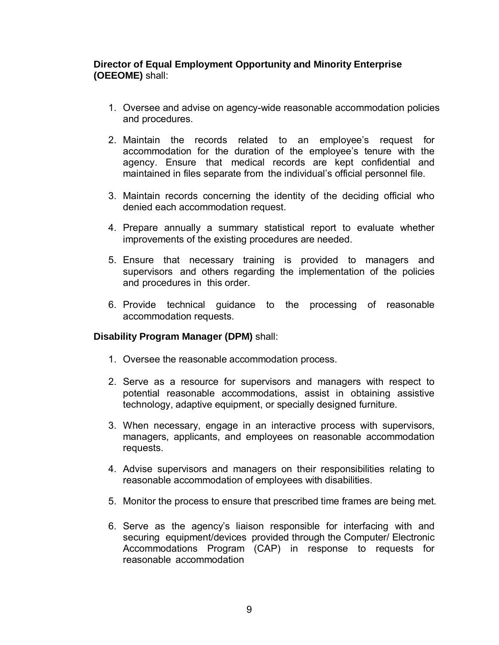## **Director of Equal Employment Opportunity and Minority Enterprise (OEEOME)** shall:

- 1. Oversee and advise on agency-wide reasonable accommodation policies and procedures.
- 2. Maintain the records related to an employee's request for accommodation for the duration of the employee's tenure with the agency. Ensure that medical records are kept confidential and maintained in files separate from the individual's official personnel file.
- 3. Maintain records concerning the identity of the deciding official who denied each accommodation request.
- 4. Prepare annually a summary statistical report to evaluate whether improvements of the existing procedures are needed.
- 5. Ensure that necessary training is provided to managers and supervisors and others regarding the implementation of the policies and procedures in this order.
- 6. Provide technical guidance to the processing of reasonable accommodation requests.

## **Disability Program Manager (DPM)** shall:

- 1. Oversee the reasonable accommodation process.
- 2. Serve as a resource for supervisors and managers with respect to potential reasonable accommodations, assist in obtaining assistive technology, adaptive equipment, or specially designed furniture.
- 3. When necessary, engage in an interactive process with supervisors, managers, applicants, and employees on reasonable accommodation requests.
- 4. Advise supervisors and managers on their responsibilities relating to reasonable accommodation of employees with disabilities.
- 5. Monitor the process to ensure that prescribed time frames are being met.
- 6. Serve as the agency's liaison responsible for interfacing with and securing equipment/devices provided through the Computer/ Electronic Accommodations Program (CAP) in response to requests for reasonable accommodation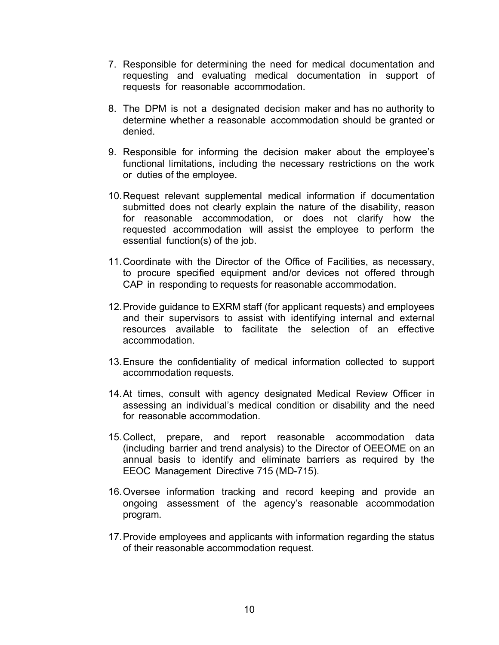- 7. Responsible for determining the need for medical documentation and requesting and evaluating medical documentation in support of requests for reasonable accommodation.
- 8. The DPM is not a designated decision maker and has no authority to determine whether a reasonable accommodation should be granted or denied.
- 9. Responsible for informing the decision maker about the employee's functional limitations, including the necessary restrictions on the work or duties of the employee.
- 10.Request relevant supplemental medical information if documentation submitted does not clearly explain the nature of the disability, reason for reasonable accommodation, or does not clarify how the requested accommodation will assist the employee to perform the essential function(s) of the job.
- 11.Coordinate with the Director of the Office of Facilities, as necessary, to procure specified equipment and/or devices not offered through CAP in responding to requests for reasonable accommodation.
- 12.Provide guidance to EXRM staff (for applicant requests) and employees and their supervisors to assist with identifying internal and external resources available to facilitate the selection of an effective accommodation.
- 13.Ensure the confidentiality of medical information collected to support accommodation requests.
- 14.At times, consult with agency designated Medical Review Officer in assessing an individual's medical condition or disability and the need for reasonable accommodation.
- 15.Collect, prepare, and report reasonable accommodation data (including barrier and trend analysis) to the Director of OEEOME on an annual basis to identify and eliminate barriers as required by the EEOC Management Directive 715 (MD-715).
- 16. Oversee information tracking and record keeping and provide an ongoing assessment of the agency's reasonable accommodation program.
- 17.Provide employees and applicants with information regarding the status of their reasonable accommodation request.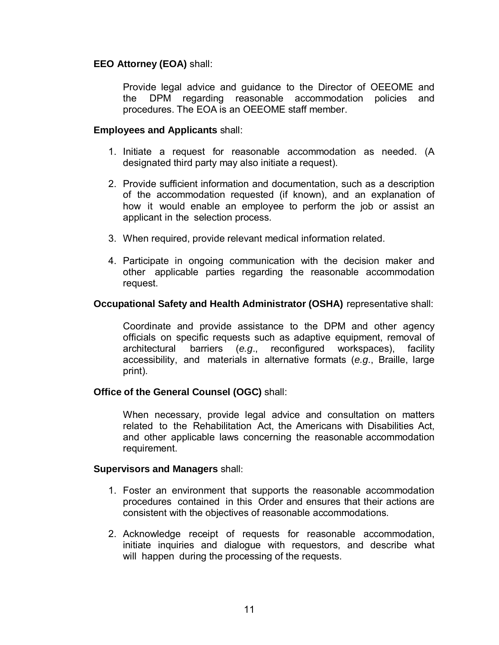## **EEO Attorney (EOA)** shall:

Provide legal advice and guidance to the Director of OEEOME and the DPM regarding reasonable accommodation policies and procedures. The EOA is an OEEOME staff member.

### **Employees and Applicants** shall:

- 1. Initiate a request for reasonable accommodation as needed. (A designated third party may also initiate a request).
- 2. Provide sufficient information and documentation, such as a description of the accommodation requested (if known), and an explanation of how it would enable an employee to perform the job or assist an applicant in the selection process.
- 3. When required, provide relevant medical information related.
- 4. Participate in ongoing communication with the decision maker and other applicable parties regarding the reasonable accommodation request.

## **Occupational Safety and Health Administrator (OSHA)** representative shall:

Coordinate and provide assistance to the DPM and other agency officials on specific requests such as adaptive equipment, removal of architectural barriers (e.g., reconfigured workspaces), facility reconfigured workspaces), facility accessibility, and materials in alternative formats (*e.g*., Braille, large print).

## **Office of the General Counsel (OGC)** shall:

When necessary, provide legal advice and consultation on matters related to the Rehabilitation Act, the Americans with Disabilities Act, and other applicable laws concerning the reasonable accommodation requirement.

#### **Supervisors and Managers** shall:

- 1. Foster an environment that supports the reasonable accommodation procedures contained in this Order and ensures that their actions are consistent with the objectives of reasonable accommodations.
- 2. Acknowledge receipt of requests for reasonable accommodation, initiate inquiries and dialogue with requestors, and describe what will happen during the processing of the requests.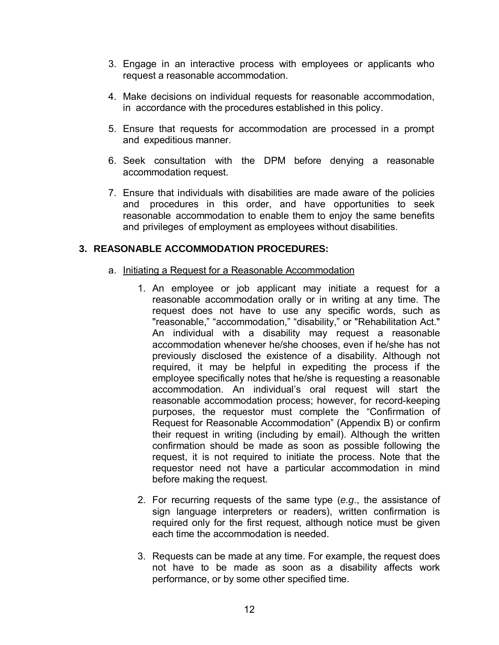- 3. Engage in an interactive process with employees or applicants who request a reasonable accommodation.
- 4. Make decisions on individual requests for reasonable accommodation, in accordance with the procedures established in this policy.
- 5. Ensure that requests for accommodation are processed in a prompt and expeditious manner.
- 6. Seek consultation with the DPM before denying a reasonable accommodation request.
- 7. Ensure that individuals with disabilities are made aware of the policies and procedures in this order, and have opportunities to seek reasonable accommodation to enable them to enjoy the same benefits and privileges of employment as employees without disabilities.

## **3. REASONABLE ACCOMMODATION PROCEDURES:**

- a. Initiating a Request for a Reasonable Accommodation
	- 1. An employee or job applicant may initiate a request for a reasonable accommodation orally or in writing at any time. The request does not have to use any specific words, such as "reasonable," "accommodation," "disability," or "Rehabilitation Act." An individual with a disability may request a reasonable accommodation whenever he/she chooses, even if he/she has not previously disclosed the existence of a disability. Although not required, it may be helpful in expediting the process if the employee specifically notes that he/she is requesting a reasonable accommodation. An individual's oral request will start the reasonable accommodation process; however, for record-keeping purposes, the requestor must complete the "Confirmation of Request for Reasonable Accommodation" (Appendix B) or confirm their request in writing (including by email). Although the written confirmation should be made as soon as possible following the request, it is not required to initiate the process. Note that the requestor need not have a particular accommodation in mind before making the request.
	- 2. For recurring requests of the same type (*e.g*., the assistance of sign language interpreters or readers), written confirmation is required only for the first request, although notice must be given each time the accommodation is needed.
	- 3. Requests can be made at any time. For example, the request does not have to be made as soon as a disability affects work performance, or by some other specified time.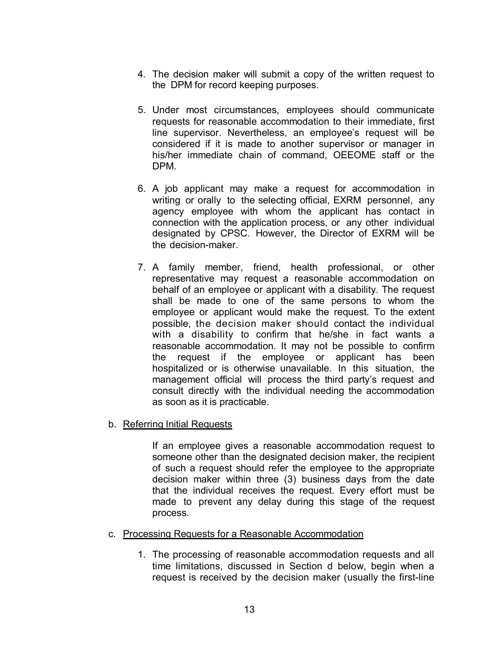- 4. The decision maker will submit a copy of the written request to the DPM for record keeping purposes.
- 5. Under most circumstances, employees should communicate requests for reasonable accommodation to their immediate, first line supervisor. Nevertheless, an employee's request will be considered if it is made to another supervisor or manager in his/her immediate chain of command, OEEOME staff or the DPM.
- 6. A job applicant may make a request for accommodation in writing or orally to the selecting official, EXRM personnel, any agency employee with whom the applicant has contact in connection with the application process, or any other individual designated by CPSC. However, the Director of EXRM will be the decision-maker.
- 7. A family member, friend, health professional, or other representative may request a reasonable accommodation on behalf of an employee or applicant with a disability. The request shall be made to one of the same persons to whom the employee or applicant would make the request. To the extent possible, the decision maker should contact the individual with a disability to confirm that he/she in fact wants a reasonable accommodation. It may not be possible to confirm the request if the employee or applicant has been hospitalized or is otherwise unavailable. In this situation, the management official will process the third party's request and consult directly with the individual needing the accommodation as soon as it is practicable.
- b. Referring Initial Requests

If an employee gives a reasonable accommodation request to someone other than the designated decision maker, the recipient of such a request should refer the employee to the appropriate decision maker within three (3) business days from the date that the individual receives the request. Every effort must be made to prevent any delay during this stage of the request process.

- c. Processing Requests for a Reasonable Accommodation
	- 1. The processing of reasonable accommodation requests and all time limitations, discussed in Section d below, begin when a request is received by the decision maker (usually the first-line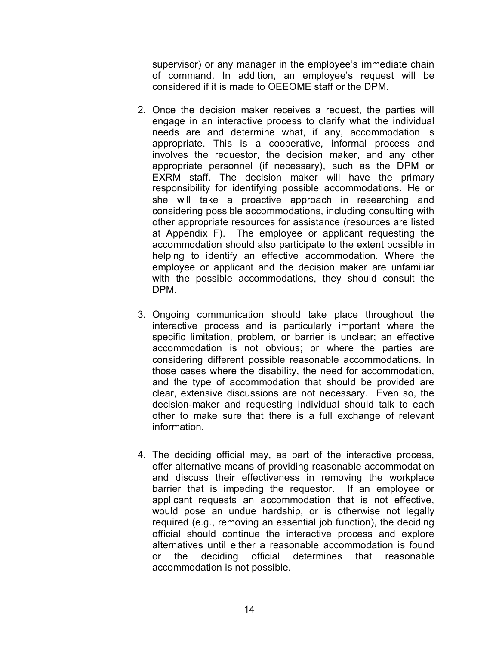supervisor) or any manager in the employee's immediate chain of command. In addition, an employee's request will be considered if it is made to OEEOME staff or the DPM.

- 2. Once the decision maker receives a request, the parties will engage in an interactive process to clarify what the individual needs are and determine what, if any, accommodation is appropriate. This is a cooperative, informal process and involves the requestor, the decision maker, and any other appropriate personnel (if necessary), such as the DPM or EXRM staff. The decision maker will have the primary responsibility for identifying possible accommodations. He or she will take a proactive approach in researching and considering possible accommodations, including consulting with other appropriate resources for assistance (resources are listed at Appendix F). The employee or applicant requesting the accommodation should also participate to the extent possible in helping to identify an effective accommodation. Where the employee or applicant and the decision maker are unfamiliar with the possible accommodations, they should consult the DPM.
- 3. Ongoing communication should take place throughout the interactive process and is particularly important where the specific limitation, problem, or barrier is unclear; an effective accommodation is not obvious; or where the parties are considering different possible reasonable accommodations. In those cases where the disability, the need for accommodation, and the type of accommodation that should be provided are clear, extensive discussions are not necessary. Even so, the decision-maker and requesting individual should talk to each other to make sure that there is a full exchange of relevant information.
- 4. The deciding official may, as part of the interactive process, offer alternative means of providing reasonable accommodation and discuss their effectiveness in removing the workplace barrier that is impeding the requestor. If an employee or applicant requests an accommodation that is not effective, would pose an undue hardship, or is otherwise not legally required (e.g., removing an essential job function), the deciding official should continue the interactive process and explore alternatives until either a reasonable accommodation is found or the deciding official determines that reasonable accommodation is not possible.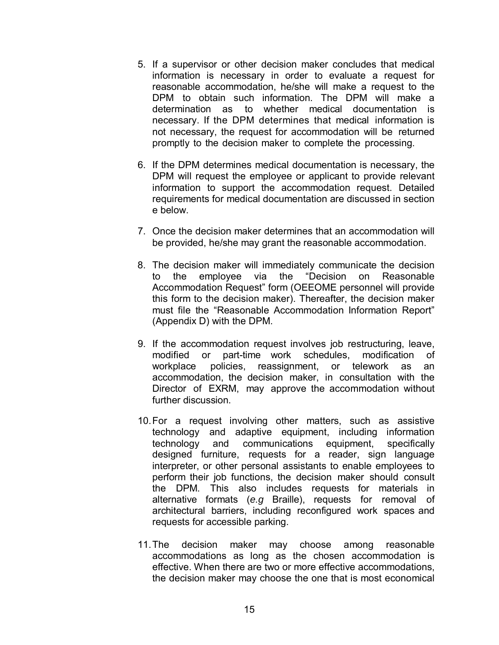- 5. If a supervisor or other decision maker concludes that medical information is necessary in order to evaluate a request for reasonable accommodation, he/she will make a request to the DPM to obtain such information. The DPM will make a determination as to whether medical documentation is necessary. If the DPM determines that medical information is not necessary, the request for accommodation will be returned promptly to the decision maker to complete the processing.
- 6. If the DPM determines medical documentation is necessary, the DPM will request the employee or applicant to provide relevant information to support the accommodation request. Detailed requirements for medical documentation are discussed in section e below.
- 7. Once the decision maker determines that an accommodation will be provided, he/she may grant the reasonable accommodation.
- 8. The decision maker will immediately communicate the decision to the employee via the "Decision on Reasonable Accommodation Request" form (OEEOME personnel will provide this form to the decision maker). Thereafter, the decision maker must file the "Reasonable Accommodation Information Report" (Appendix D) with the DPM.
- 9. If the accommodation request involves job restructuring, leave, modified or part-time work schedules, modification of workplace policies, reassignment, or telework as an accommodation, the decision maker, in consultation with the Director of EXRM, may approve the accommodation without further discussion.
- 10.For a request involving other matters, such as assistive technology and adaptive equipment, including information technology and communications equipment, specifically designed furniture, requests for a reader, sign language interpreter, or other personal assistants to enable employees to perform their job functions, the decision maker should consult the DPM. This also includes requests for materials in alternative formats (*e.g* Braille), requests for removal of architectural barriers, including reconfigured work spaces and requests for accessible parking.
- 11.The decision maker may choose among reasonable accommodations as long as the chosen accommodation is effective. When there are two or more effective accommodations, the decision maker may choose the one that is most economical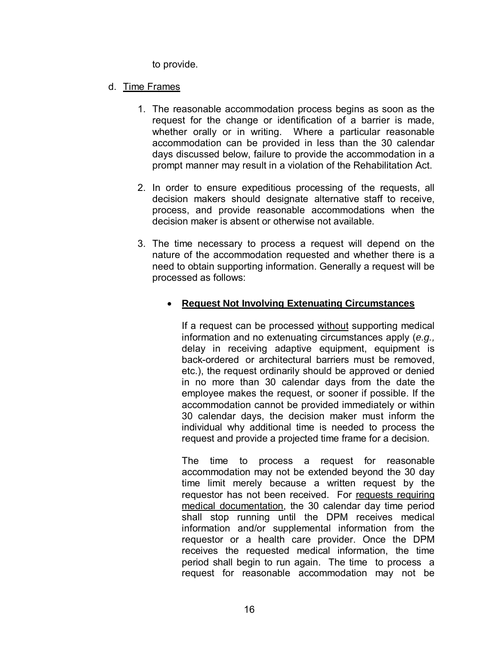to provide.

### d. Time Frames

- 1. The reasonable accommodation process begins as soon as the request for the change or identification of a barrier is made, whether orally or in writing. Where a particular reasonable accommodation can be provided in less than the 30 calendar days discussed below, failure to provide the accommodation in a prompt manner may result in a violation of the Rehabilitation Act.
- 2. In order to ensure expeditious processing of the requests, all decision makers should designate alternative staff to receive, process, and provide reasonable accommodations when the decision maker is absent or otherwise not available.
- 3. The time necessary to process a request will depend on the nature of the accommodation requested and whether there is a need to obtain supporting information. Generally a request will be processed as follows:

## • **Request Not Involving Extenuating Circumstances**

If a request can be processed without supporting medical information and no extenuating circumstances apply (*e.g.,* delay in receiving adaptive equipment, equipment is back-ordered or architectural barriers must be removed, etc.), the request ordinarily should be approved or denied in no more than 30 calendar days from the date the employee makes the request, or sooner if possible. If the accommodation cannot be provided immediately or within 30 calendar days, the decision maker must inform the individual why additional time is needed to process the request and provide a projected time frame for a decision.

The time to process a request for reasonable accommodation may not be extended beyond the 30 day time limit merely because a written request by the requestor has not been received. For requests requiring medical documentation, the 30 calendar day time period shall stop running until the DPM receives medical information and/or supplemental information from the requestor or a health care provider. Once the DPM receives the requested medical information, the time period shall begin to run again. The time to process a request for reasonable accommodation may not be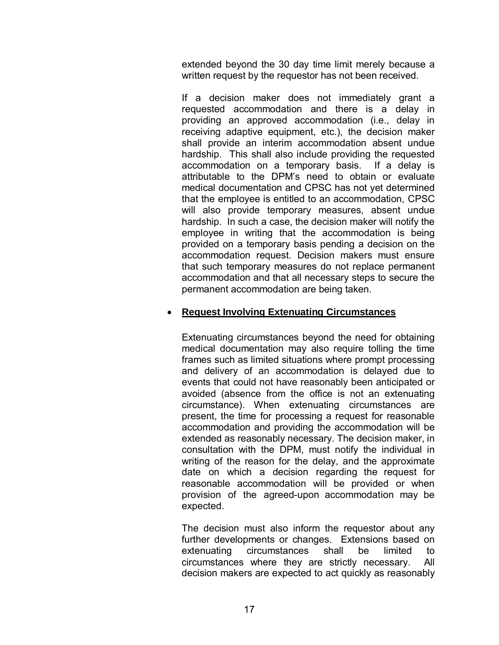extended beyond the 30 day time limit merely because a written request by the requestor has not been received.

If a decision maker does not immediately grant a requested accommodation and there is a delay in providing an approved accommodation (i.e., delay in receiving adaptive equipment, etc.), the decision maker shall provide an interim accommodation absent undue hardship. This shall also include providing the requested accommodation on a temporary basis. If a delay is attributable to the DPM's need to obtain or evaluate medical documentation and CPSC has not yet determined that the employee is entitled to an accommodation, CPSC will also provide temporary measures, absent undue hardship. In such a case, the decision maker will notify the employee in writing that the accommodation is being provided on a temporary basis pending a decision on the accommodation request. Decision makers must ensure that such temporary measures do not replace permanent accommodation and that all necessary steps to secure the permanent accommodation are being taken.

## • **Request Involving Extenuating Circumstances**

Extenuating circumstances beyond the need for obtaining medical documentation may also require tolling the time frames such as limited situations where prompt processing and delivery of an accommodation is delayed due to events that could not have reasonably been anticipated or avoided (absence from the office is not an extenuating circumstance). When extenuating circumstances are present, the time for processing a request for reasonable accommodation and providing the accommodation will be extended as reasonably necessary. The decision maker, in consultation with the DPM, must notify the individual in writing of the reason for the delay, and the approximate date on which a decision regarding the request for reasonable accommodation will be provided or when provision of the agreed-upon accommodation may be expected.

The decision must also inform the requestor about any further developments or changes. Extensions based on extenuating circumstances shall be limited to circumstances where they are strictly necessary. All decision makers are expected to act quickly as reasonably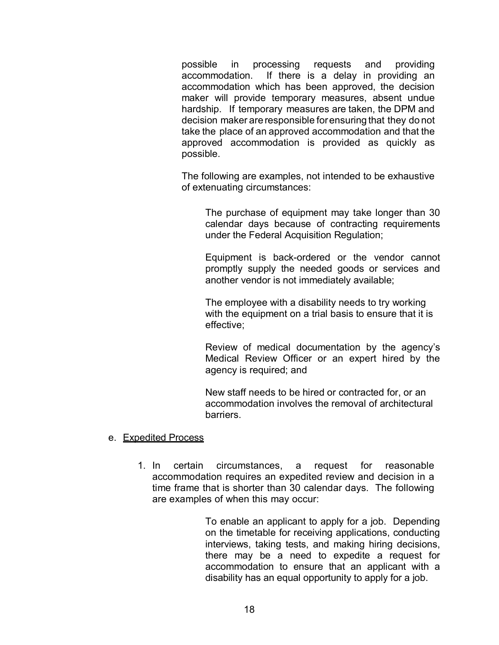possible in processing requests and providing accommodation. If there is a delay in providing an accommodation which has been approved, the decision maker will provide temporary measures, absent undue hardship. If temporary measures are taken, the DPM and decision maker are responsible forensuring that they do not take the place of an approved accommodation and that the approved accommodation is provided as quickly as possible.

The following are examples, not intended to be exhaustive of extenuating circumstances:

The purchase of equipment may take longer than 30 calendar days because of contracting requirements under the Federal Acquisition Regulation;

Equipment is back-ordered or the vendor cannot promptly supply the needed goods or services and another vendor is not immediately available;

The employee with a disability needs to try working with the equipment on a trial basis to ensure that it is effective;

Review of medical documentation by the agency's Medical Review Officer or an expert hired by the agency is required; and

New staff needs to be hired or contracted for, or an accommodation involves the removal of architectural barriers.

#### e. Expedited Process

1. In certain circumstances, a request for reasonable accommodation requires an expedited review and decision in a time frame that is shorter than 30 calendar days. The following are examples of when this may occur:

> To enable an applicant to apply for a job. Depending on the timetable for receiving applications, conducting interviews, taking tests, and making hiring decisions, there may be a need to expedite a request for accommodation to ensure that an applicant with a disability has an equal opportunity to apply for a job.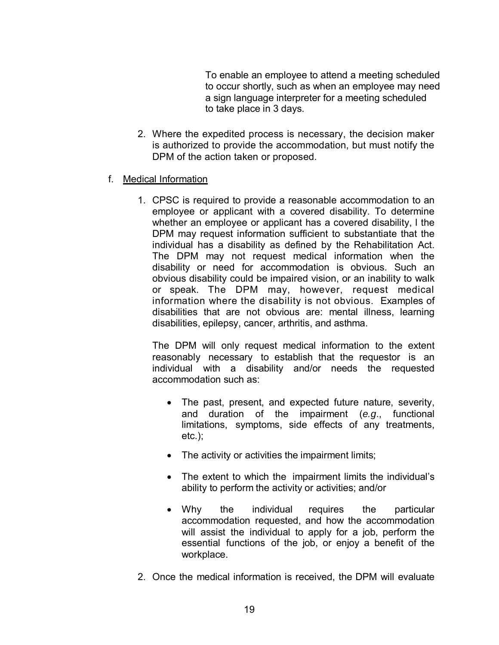To enable an employee to attend a meeting scheduled to occur shortly, such as when an employee may need a sign language interpreter for a meeting scheduled to take place in 3 days.

- 2. Where the expedited process is necessary, the decision maker is authorized to provide the accommodation, but must notify the DPM of the action taken or proposed.
- f. Medical Information
	- 1. CPSC is required to provide a reasonable accommodation to an employee or applicant with a covered disability. To determine whether an employee or applicant has a covered disability, l the DPM may request information sufficient to substantiate that the individual has a disability as defined by the Rehabilitation Act. The DPM may not request medical information when the disability or need for accommodation is obvious. Such an obvious disability could be impaired vision, or an inability to walk or speak. The DPM may, however, request medical information where the disability is not obvious. Examples of disabilities that are not obvious are: mental illness, learning disabilities, epilepsy, cancer, arthritis, and asthma.

The DPM will only request medical information to the extent reasonably necessary to establish that the requestor is an individual with a disability and/or needs the requested accommodation such as:

- The past, present, and expected future nature, severity, and duration of the impairment (*e.g*., functional limitations, symptoms, side effects of any treatments, etc.);
- The activity or activities the impairment limits;
- The extent to which the impairment limits the individual's ability to perform the activity or activities; and/or
- Why the individual requires the particular accommodation requested, and how the accommodation will assist the individual to apply for a job, perform the essential functions of the job, or enjoy a benefit of the workplace.
- 2. Once the medical information is received, the DPM will evaluate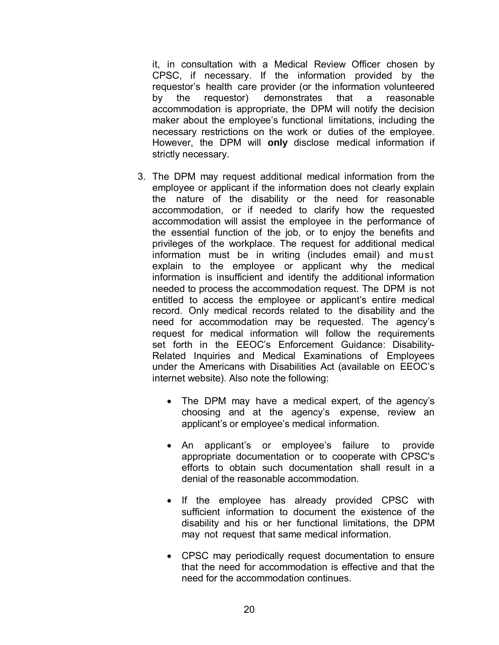it, in consultation with a Medical Review Officer chosen by CPSC, if necessary. If the information provided by the requestor's health care provider (or the information volunteered by the requestor) demonstrates that a reasonable accommodation is appropriate, the DPM will notify the decision maker about the employee's functional limitations, including the necessary restrictions on the work or duties of the employee. However, the DPM will **only** disclose medical information if strictly necessary.

- 3. The DPM may request additional medical information from the employee or applicant if the information does not clearly explain the nature of the disability or the need for reasonable accommodation, or if needed to clarify how the requested accommodation will assist the employee in the performance of the essential function of the job, or to enjoy the benefits and privileges of the workplace. The request for additional medical information must be in writing (includes email) and must explain to the employee or applicant why the medical information is insufficient and identify the additional information needed to process the accommodation request. The DPM is not entitled to access the employee or applicant's entire medical record. Only medical records related to the disability and the need for accommodation may be requested. The agency's request for medical information will follow the requirements set forth in the EEOC's Enforcement Guidance: Disability-Related Inquiries and Medical Examinations of Employees under the Americans with Disabilities Act (available on EEOC's internet website). Also note the following:
	- The DPM may have a medical expert, of the agency's choosing and at the agency's expense, review an applicant's or employee's medical information.
	- An applicant's or employee's failure to provide appropriate documentation or to cooperate with CPSC's efforts to obtain such documentation shall result in a denial of the reasonable accommodation.
	- If the employee has already provided CPSC with sufficient information to document the existence of the disability and his or her functional limitations, the DPM may not request that same medical information.
	- CPSC may periodically request documentation to ensure that the need for accommodation is effective and that the need for the accommodation continues.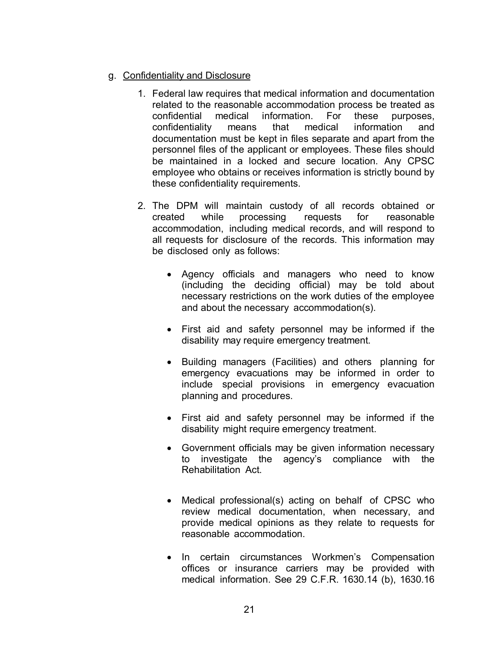## g. Confidentiality and Disclosure

- 1. Federal law requires that medical information and documentation related to the reasonable accommodation process be treated as confidential medical information. For these purposes, confidentiality means that medical information and documentation must be kept in files separate and apart from the personnel files of the applicant or employees. These files should be maintained in a locked and secure location. Any CPSC employee who obtains or receives information is strictly bound by these confidentiality requirements.
- 2. The DPM will maintain custody of all records obtained or created while processing requests for reasonable accommodation, including medical records, and will respond to all requests for disclosure of the records. This information may be disclosed only as follows:
	- Agency officials and managers who need to know (including the deciding official) may be told about necessary restrictions on the work duties of the employee and about the necessary accommodation(s).
	- First aid and safety personnel may be informed if the disability may require emergency treatment.
	- Building managers (Facilities) and others planning for emergency evacuations may be informed in order to include special provisions in emergency evacuation planning and procedures.
	- First aid and safety personnel may be informed if the disability might require emergency treatment.
	- Government officials may be given information necessary to investigate the agency's compliance with the Rehabilitation Act.
	- Medical professional(s) acting on behalf of CPSC who review medical documentation, when necessary, and provide medical opinions as they relate to requests for reasonable accommodation.
	- In certain circumstances Workmen's Compensation offices or insurance carriers may be provided with medical information. See 29 C.F.R. 1630.14 (b), 1630.16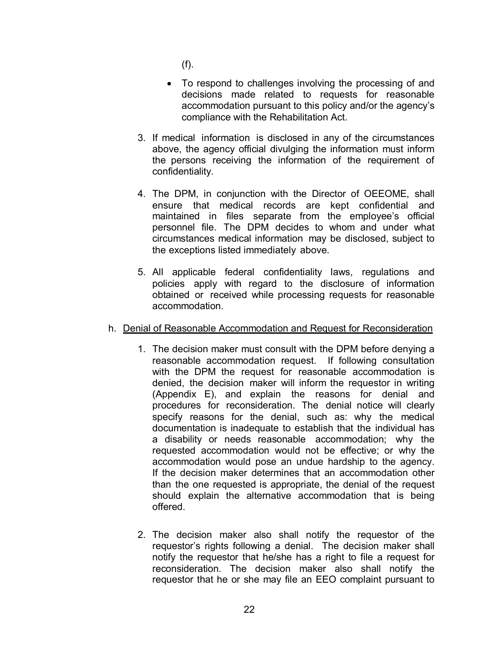(f).

- To respond to challenges involving the processing of and decisions made related to requests for reasonable accommodation pursuant to this policy and/or the agency's compliance with the Rehabilitation Act.
- 3. If medical information is disclosed in any of the circumstances above, the agency official divulging the information must inform the persons receiving the information of the requirement of confidentiality.
- 4. The DPM, in conjunction with the Director of OEEOME, shall ensure that medical records are kept confidential and maintained in files separate from the employee's official personnel file. The DPM decides to whom and under what circumstances medical information may be disclosed, subject to the exceptions listed immediately above.
- 5. All applicable federal confidentiality laws, regulations and policies apply with regard to the disclosure of information obtained or received while processing requests for reasonable accommodation.

## h. Denial of Reasonable Accommodation and Request for Reconsideration

- 1. The decision maker must consult with the DPM before denying a reasonable accommodation request. If following consultation with the DPM the request for reasonable accommodation is denied, the decision maker will inform the requestor in writing (Appendix E), and explain the reasons for denial and procedures for reconsideration. The denial notice will clearly specify reasons for the denial, such as: why the medical documentation is inadequate to establish that the individual has a disability or needs reasonable accommodation; why the requested accommodation would not be effective; or why the accommodation would pose an undue hardship to the agency. If the decision maker determines that an accommodation other than the one requested is appropriate, the denial of the request should explain the alternative accommodation that is being offered.
- 2. The decision maker also shall notify the requestor of the requestor's rights following a denial. The decision maker shall notify the requestor that he/she has a right to file a request for reconsideration. The decision maker also shall notify the requestor that he or she may file an EEO complaint pursuant to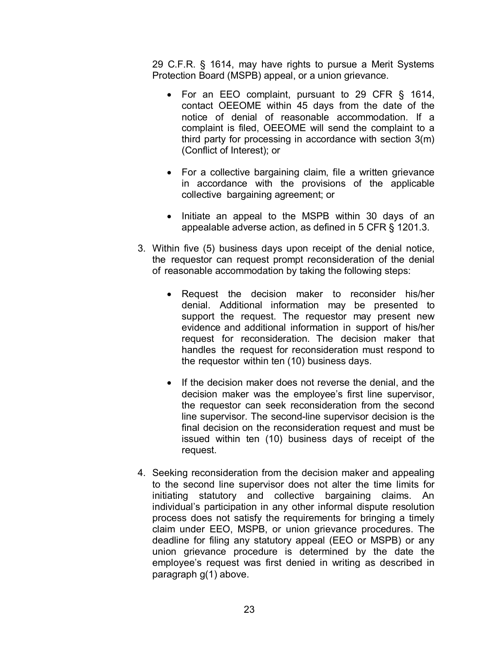29 C.F.R. § 1614, may have rights to pursue a Merit Systems Protection Board (MSPB) appeal, or a union grievance.

- For an EEO complaint, pursuant to 29 CFR § 1614, contact OEEOME within 45 days from the date of the notice of denial of reasonable accommodation. If a complaint is filed, OEEOME will send the complaint to a third party for processing in accordance with section 3(m) (Conflict of Interest); or
- For a collective bargaining claim, file a written grievance in accordance with the provisions of the applicable collective bargaining agreement; or
- Initiate an appeal to the MSPB within 30 days of an appealable adverse action, as defined in 5 CFR § 1201.3.
- 3. Within five (5) business days upon receipt of the denial notice, the requestor can request prompt reconsideration of the denial of reasonable accommodation by taking the following steps:
	- Request the decision maker to reconsider his/her denial. Additional information may be presented to support the request. The requestor may present new evidence and additional information in support of his/her request for reconsideration. The decision maker that handles the request for reconsideration must respond to the requestor within ten (10) business days.
	- If the decision maker does not reverse the denial, and the decision maker was the employee's first line supervisor, the requestor can seek reconsideration from the second line supervisor. The second-line supervisor decision is the final decision on the reconsideration request and must be issued within ten (10) business days of receipt of the request.
- 4. Seeking reconsideration from the decision maker and appealing to the second line supervisor does not alter the time limits for initiating statutory and collective bargaining claims. An individual's participation in any other informal dispute resolution process does not satisfy the requirements for bringing a timely claim under EEO, MSPB, or union grievance procedures. The deadline for filing any statutory appeal (EEO or MSPB) or any union grievance procedure is determined by the date the employee's request was first denied in writing as described in paragraph g(1) above.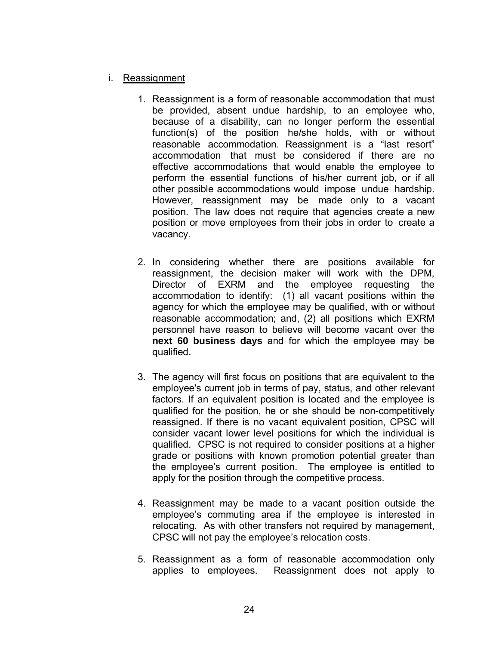## i. Reassignment

- 1. Reassignment is a form of reasonable accommodation that must be provided, absent undue hardship, to an employee who, because of a disability, can no longer perform the essential function(s) of the position he/she holds, with or without reasonable accommodation. Reassignment is a "last resort" accommodation that must be considered if there are no effective accommodations that would enable the employee to perform the essential functions of his/her current job, or if all other possible accommodations would impose undue hardship. However, reassignment may be made only to a vacant position. The law does not require that agencies create a new position or move employees from their jobs in order to create a vacancy.
- 2. In considering whether there are positions available for reassignment, the decision maker will work with the DPM, Director of EXRM and the employee requesting the accommodation to identify: (1) all vacant positions within the agency for which the employee may be qualified, with or without reasonable accommodation; and, (2) all positions which EXRM personnel have reason to believe will become vacant over the **next 60 business days** and for which the employee may be qualified.
- 3. The agency will first focus on positions that are equivalent to the employee's current job in terms of pay, status, and other relevant factors. If an equivalent position is located and the employee is qualified for the position, he or she should be non-competitively reassigned. If there is no vacant equivalent position, CPSC will consider vacant lower level positions for which the individual is qualified. CPSC is not required to consider positions at a higher grade or positions with known promotion potential greater than the employee's current position. The employee is entitled to apply for the position through the competitive process.
- 4. Reassignment may be made to a vacant position outside the employee's commuting area if the employee is interested in relocating. As with other transfers not required by management, CPSC will not pay the employee's relocation costs.
- 5. Reassignment as a form of reasonable accommodation only applies to employees. Reassignment does not apply to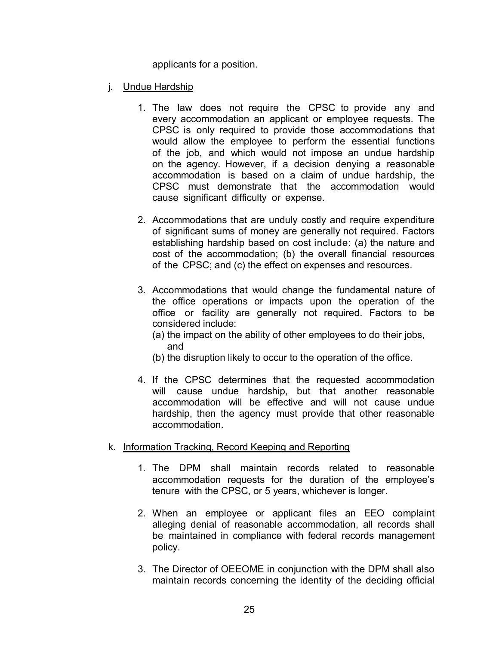applicants for a position.

- j. Undue Hardship
	- 1. The law does not require the CPSC to provide any and every accommodation an applicant or employee requests. The CPSC is only required to provide those accommodations that would allow the employee to perform the essential functions of the job, and which would not impose an undue hardship on the agency. However, if a decision denying a reasonable accommodation is based on a claim of undue hardship, the CPSC must demonstrate that the accommodation would cause significant difficulty or expense.
	- 2. Accommodations that are unduly costly and require expenditure of significant sums of money are generally not required. Factors establishing hardship based on cost include: (a) the nature and cost of the accommodation; (b) the overall financial resources of the CPSC; and (c) the effect on expenses and resources.
	- 3. Accommodations that would change the fundamental nature of the office operations or impacts upon the operation of the office or facility are generally not required. Factors to be considered include:
		- (a) the impact on the ability of other employees to do their jobs, and
		- (b) the disruption likely to occur to the operation of the office.
	- 4. If the CPSC determines that the requested accommodation will cause undue hardship, but that another reasonable accommodation will be effective and will not cause undue hardship, then the agency must provide that other reasonable accommodation.
- k. Information Tracking, Record Keeping and Reporting
	- 1. The DPM shall maintain records related to reasonable accommodation requests for the duration of the employee's tenure with the CPSC, or 5 years, whichever is longer.
	- 2. When an employee or applicant files an EEO complaint alleging denial of reasonable accommodation, all records shall be maintained in compliance with federal records management policy.
	- 3. The Director of OEEOME in conjunction with the DPM shall also maintain records concerning the identity of the deciding official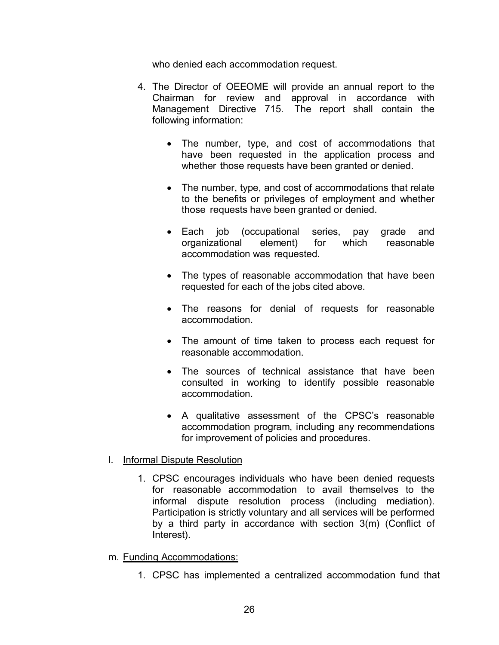who denied each accommodation request.

- 4. The Director of OEEOME will provide an annual report to the Chairman for review and approval in accordance with Management Directive 715. The report shall contain the following information:
	- The number, type, and cost of accommodations that have been requested in the application process and whether those requests have been granted or denied.
	- The number, type, and cost of accommodations that relate to the benefits or privileges of employment and whether those requests have been granted or denied.
	- Each job (occupational series, pay grade and organizational element) for which reasonable accommodation was requested.
	- The types of reasonable accommodation that have been requested for each of the jobs cited above.
	- The reasons for denial of requests for reasonable accommodation.
	- The amount of time taken to process each request for reasonable accommodation.
	- The sources of technical assistance that have been consulted in working to identify possible reasonable accommodation.
	- A qualitative assessment of the CPSC's reasonable accommodation program, including any recommendations for improvement of policies and procedures.

## l. Informal Dispute Resolution

- 1. CPSC encourages individuals who have been denied requests for reasonable accommodation to avail themselves to the informal dispute resolution process (including mediation). Participation is strictly voluntary and all services will be performed by a third party in accordance with section 3(m) (Conflict of Interest).
- m. Funding Accommodations:
	- 1. CPSC has implemented a centralized accommodation fund that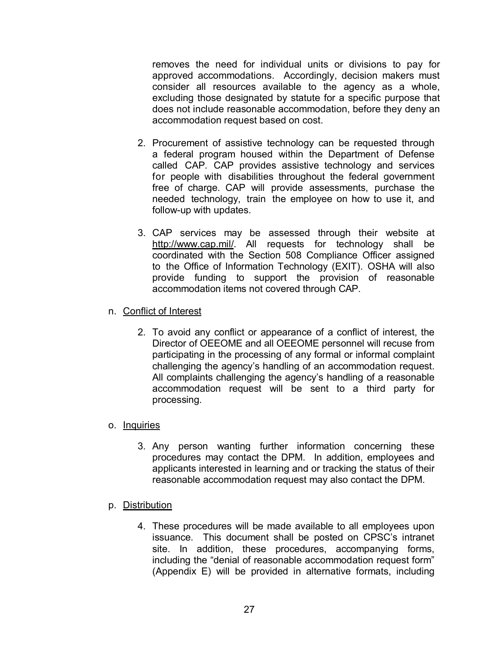removes the need for individual units or divisions to pay for approved accommodations. Accordingly, decision makers must consider all resources available to the agency as a whole, excluding those designated by statute for a specific purpose that does not include reasonable accommodation, before they deny an accommodation request based on cost.

- 2. Procurement of assistive technology can be requested through a federal program housed within the Department of Defense called CAP. CAP provides assistive technology and services for people with disabilities throughout the federal government free of charge. CAP will provide assessments, purchase the needed technology, train the employee on how to use it, and follow-up with updates.
- 3. CAP services may be assessed through their website at [http://www.cap.mil/.](http://www.cap.mil/) All requests for technology shall be coordinated with the Section 508 Compliance Officer assigned to the Office of Information Technology (EXIT). OSHA will also provide funding to support the provision of reasonable accommodation items not covered through CAP.
- n. Conflict of Interest
	- 2. To avoid any conflict or appearance of a conflict of interest, the Director of OEEOME and all OEEOME personnel will recuse from participating in the processing of any formal or informal complaint challenging the agency's handling of an accommodation request. All complaints challenging the agency's handling of a reasonable accommodation request will be sent to a third party for processing.

## o. Inquiries

- 3. Any person wanting further information concerning these procedures may contact the DPM. In addition, employees and applicants interested in learning and or tracking the status of their reasonable accommodation request may also contact the DPM.
- p. Distribution
	- 4. These procedures will be made available to all employees upon issuance. This document shall be posted on CPSC's intranet site. In addition, these procedures, accompanying forms, including the "denial of reasonable accommodation request form" (Appendix E) will be provided in alternative formats, including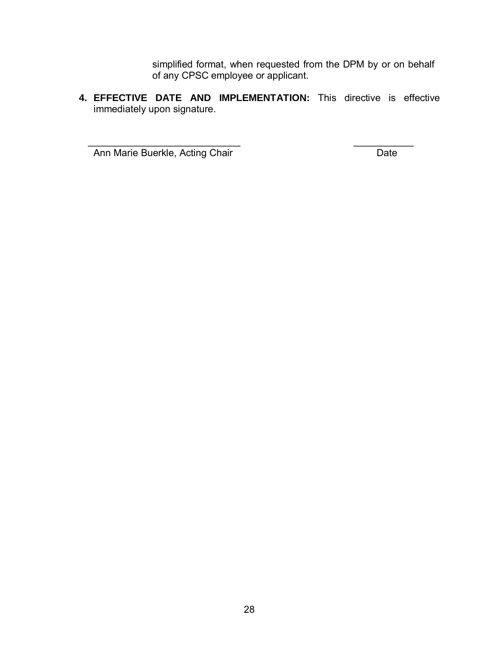simplified format, when requested from the DPM by or on behalf of any CPSC employee or applicant.

**4. EFFECTIVE DATE AND IMPLEMENTATION:** This directive is effective immediately upon signature.

 $\overline{\phantom{a}}$  , and the contract of the contract of the contract of the contract of the contract of the contract of the contract of the contract of the contract of the contract of the contract of the contract of the contrac Ann Marie Buerkle, Acting Chair **Date**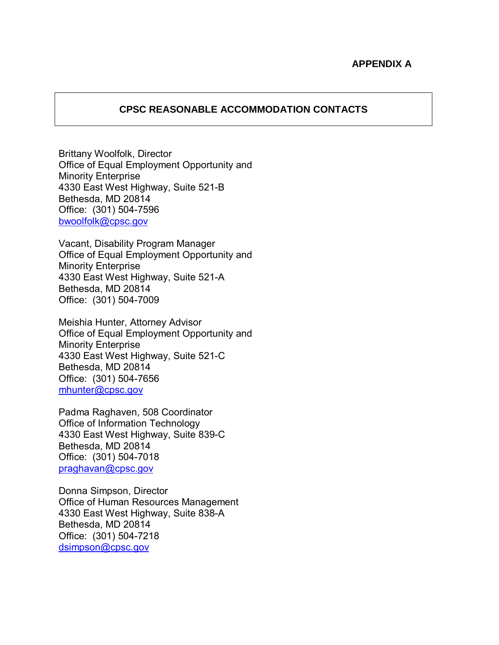## **APPENDIX A**

#### **CPSC REASONABLE ACCOMMODATION CONTACTS**

Brittany Woolfolk, Director Office of Equal Employment Opportunity and Minority Enterprise 4330 East West Highway, Suite 521-B Bethesda, MD 20814 Office: (301) 504-7596 [bwoolfolk@cpsc.gov](mailto:bwoolfolk@cpsc.gov)

Vacant, Disability Program Manager Office of Equal Employment Opportunity and Minority Enterprise 4330 East West Highway, Suite 521-A Bethesda, MD 20814 Office: (301) 504-7009

Meishia Hunter, Attorney Advisor Office of Equal Employment Opportunity and Minority Enterprise 4330 East West Highway, Suite 521-C Bethesda, MD 20814 Office: (301) 504-7656 [mhunter@cpsc.gov](mailto:mhunter@cpsc.gov)

Padma Raghaven, 508 Coordinator Office of Information Technology 4330 East West Highway, Suite 839-C Bethesda, MD 20814 Office: (301) 504-7018 [praghavan@cpsc.gov](mailto:praghavan@cpsc.gov)

Donna Simpson, Director Office of Human Resources Management 4330 East West Highway, Suite 838-A Bethesda, MD 20814 Office: (301) 504-7218 [dsimpson@cpsc.gov](mailto:dsimpson@cpsc.gov)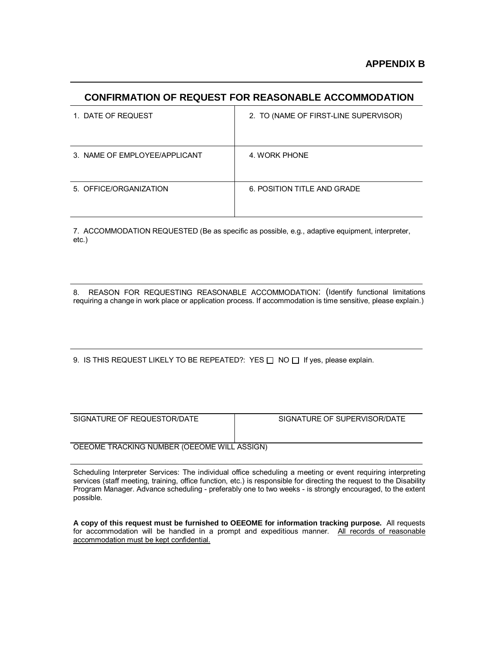#### **CONFIRMATION OF REQUEST FOR REASONABLE ACCOMMODATION**

| 1. DATE OF REQUEST            | 2. TO (NAME OF FIRST-LINE SUPERVISOR) |
|-------------------------------|---------------------------------------|
| 3. NAME OF EMPLOYEE/APPLICANT | 4. WORK PHONE                         |
| 5. OFFICE/ORGANIZATION        | 6. POSITION TITLE AND GRADE           |

7. ACCOMMODATION REQUESTED (Be as specific as possible, e.g., adaptive equipment, interpreter, etc.)

8. REASON FOR REQUESTING REASONABLE ACCOMMODATION: (Identify functional limitations requiring a change in work place or application process. If accommodation is time sensitive, please explain.)

9. IS THIS REQUEST LIKELY TO BE REPEATED?: YES  $\Box$  NO  $\Box$  If yes, please explain.

| SIGNATURE OF REQUESTOR/DATE                 | SIGNATURE OF SUPERVISOR/DATE |  |
|---------------------------------------------|------------------------------|--|
|                                             |                              |  |
|                                             |                              |  |
|                                             |                              |  |
| OEEOME TRACKING NUMBER (OEEOME WILL ASSIGN) |                              |  |

Scheduling Interpreter Services: The individual office scheduling a meeting or event requiring interpreting services (staff meeting, training, office function, etc.) is responsible for directing the request to the Disability Program Manager. Advance scheduling - preferably one to two weeks - is strongly encouraged, to the extent possible.

**A copy of this request must be furnished to OEEOME for information tracking purpose.** All requests for accommodation will be handled in a prompt and expeditious manner. All records of reasonable accommodation must be kept confidential.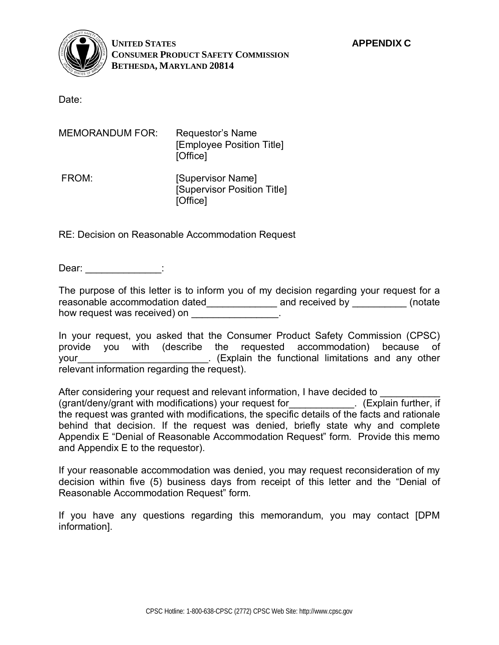

**UNITED STATES APPENDIX C CONSUMER PRODUCT SAFETY COMMISSION BETHESDA, MARYLAND 20814** 

Date:

| MEMORANDUM FOR: | Requestor's Name<br>[Employee Position Title]<br>[Office]    |
|-----------------|--------------------------------------------------------------|
| FROM:           | [Supervisor Name]<br>[Supervisor Position Title]<br>[Office] |

RE: Decision on Reasonable Accommodation Request

Dear: **Dear:**  $\qquad \qquad$  :

The purpose of this letter is to inform you of my decision regarding your request for a reasonable accommodation dated\_\_\_\_\_\_\_\_\_\_\_\_\_\_ and received by \_\_\_\_\_\_\_\_\_\_ (notate how request was received) on

In your request, you asked that the Consumer Product Safety Commission (CPSC) provide you with (describe the requested accommodation) because of your vertext of the functional limitations and any other relevant information regarding the request).

After considering your request and relevant information, I have decided to (grant/deny/grant with modifications) your request for\_\_\_\_\_\_\_\_\_\_\_\_. (Explain further, if the request was granted with modifications, the specific details of the facts and rationale behind that decision. If the request was denied, briefly state why and complete Appendix E "Denial of Reasonable Accommodation Request" form. Provide this memo and Appendix E to the requestor).

If your reasonable accommodation was denied, you may request reconsideration of my decision within five (5) business days from receipt of this letter and the "Denial of Reasonable Accommodation Request" form.

If you have any questions regarding this memorandum, you may contact [DPM information].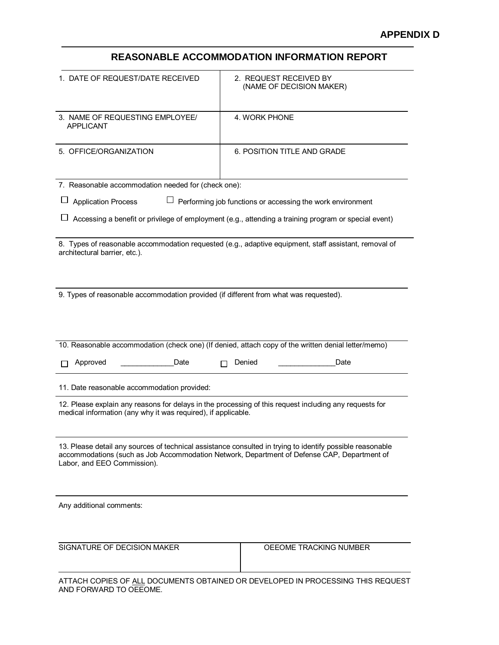## **REASONABLE ACCOMMODATION INFORMATION REPORT**

| 1. DATE OF REQUEST/DATE RECEIVED                                                                                                                                        | 2. REQUEST RECEIVED BY<br>(NAME OF DECISION MAKER)                                                                                                                                                       |  |  |
|-------------------------------------------------------------------------------------------------------------------------------------------------------------------------|----------------------------------------------------------------------------------------------------------------------------------------------------------------------------------------------------------|--|--|
| 3. NAME OF REQUESTING EMPLOYEE/<br><b>APPLICANT</b>                                                                                                                     | 4. WORK PHONE                                                                                                                                                                                            |  |  |
| 5. OFFICE/ORGANIZATION                                                                                                                                                  | 6. POSITION TITLE AND GRADE                                                                                                                                                                              |  |  |
| 7. Reasonable accommodation needed for (check one):                                                                                                                     |                                                                                                                                                                                                          |  |  |
| <b>Application Process</b>                                                                                                                                              | Performing job functions or accessing the work environment                                                                                                                                               |  |  |
|                                                                                                                                                                         | Accessing a benefit or privilege of employment (e.g., attending a training program or special event)                                                                                                     |  |  |
| architectural barrier, etc.).                                                                                                                                           | 8. Types of reasonable accommodation requested (e.g., adaptive equipment, staff assistant, removal of                                                                                                    |  |  |
| 9. Types of reasonable accommodation provided (if different from what was requested).                                                                                   |                                                                                                                                                                                                          |  |  |
|                                                                                                                                                                         | 10. Reasonable accommodation (check one) (If denied, attach copy of the written denial letter/memo)                                                                                                      |  |  |
| Approved<br>Date                                                                                                                                                        | Date<br>Denied                                                                                                                                                                                           |  |  |
| 11. Date reasonable accommodation provided:                                                                                                                             |                                                                                                                                                                                                          |  |  |
| 12. Please explain any reasons for delays in the processing of this request including any requests for<br>medical information (any why it was required), if applicable. |                                                                                                                                                                                                          |  |  |
| Labor, and EEO Commission).                                                                                                                                             | 13. Please detail any sources of technical assistance consulted in trying to identify possible reasonable<br>accommodations (such as Job Accommodation Network, Department of Defense CAP, Department of |  |  |
| Any additional comments:                                                                                                                                                |                                                                                                                                                                                                          |  |  |
| SIGNATURE OF DECISION MAKER                                                                                                                                             | OEEOME TRACKING NUMBER                                                                                                                                                                                   |  |  |
| AND FORWARD TO OEEOME.                                                                                                                                                  | ATTACH COPIES OF ALL DOCUMENTS OBTAINED OR DEVELOPED IN PROCESSING THIS REQUEST                                                                                                                          |  |  |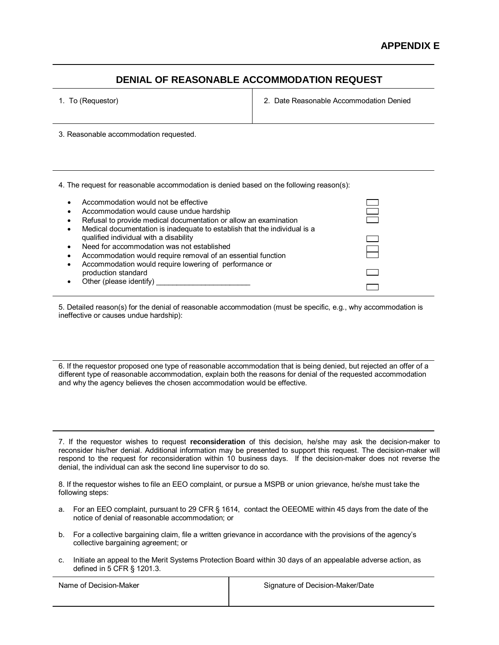## **DENIAL OF REASONABLE ACCOMMODATION REQUEST**

1. To (Requestor) 2. Date Reasonable Accommodation Denied

3. Reasonable accommodation requested.

4. The request for reasonable accommodation is denied based on the following reason(s):

| $\bullet$<br>$\bullet$<br>$\bullet$ | Accommodation would not be effective<br>Accommodation would cause undue hardship<br>Refusal to provide medical documentation or allow an examination<br>Medical documentation is inadequate to establish that the individual is a |  |
|-------------------------------------|-----------------------------------------------------------------------------------------------------------------------------------------------------------------------------------------------------------------------------------|--|
| $\bullet$<br>$\bullet$              | qualified individual with a disability<br>Need for accommodation was not established<br>Accommodation would require removal of an essential function                                                                              |  |
| $\bullet$                           | Accommodation would require lowering of performance or<br>production standard<br>Other (please identify)                                                                                                                          |  |

5. Detailed reason(s) for the denial of reasonable accommodation (must be specific, e.g., why accommodation is ineffective or causes undue hardship):

6. If the requestor proposed one type of reasonable accommodation that is being denied, but rejected an offer of a different type of reasonable accommodation, explain both the reasons for denial of the requested accommodation and why the agency believes the chosen accommodation would be effective.

7. If the requestor wishes to request **reconsideration** of this decision, he/she may ask the decision-maker to reconsider his/her denial. Additional information may be presented to support this request. The decision-maker will respond to the request for reconsideration within 10 business days. If the decision-maker does not reverse the denial, the individual can ask the second line supervisor to do so.

8. If the requestor wishes to file an EEO complaint, or pursue a MSPB or union grievance, he/she must take the following steps:

- a. For an EEO complaint, pursuant to 29 CFR § 1614, contact the OEEOME within 45 days from the date of the notice of denial of reasonable accommodation; or
- b. For a collective bargaining claim, file a written grievance in accordance with the provisions of the agency's collective bargaining agreement; or
- c. Initiate an appeal to the Merit Systems Protection Board within 30 days of an appealable adverse action, as defined in 5 CFR § 1201.3.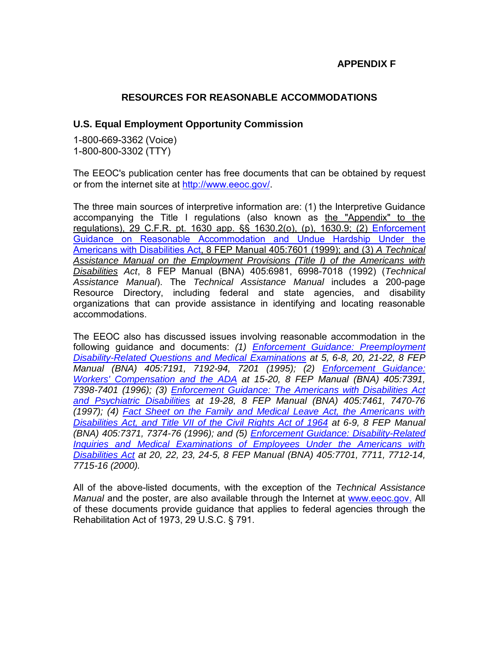## **APPENDIX F**

## **RESOURCES FOR REASONABLE ACCOMMODATIONS**

#### **U.S. Equal Employment Opportunity Commission**

1-800-669-3362 (Voice) 1-800-800-3302 (TTY)

The EEOC's publication center has free documents that can be obtained by request or from the internet site at [http://www.eeoc.gov/.](http://www.eeoc.gov/)

The three main sources of interpretive information are: (1) the Interpretive Guidance accompanying the Title I regulations (also known as the "Appendix" to the regulations), 29 C.F.R. pt. 1630 app. §§ 1630.2(o), (p), 1630.9; (2) Enforcement Guidance on Reasonable Accommodation and Undue Hardship Under the Americans with Disabilities Act, 8 FEP Manual 405:7601 (1999); and (3) *A Technical Assistance Manual on the Employment Provisions (Title I) of the Americans with Disabilities Act*, 8 FEP Manual (BNA) 405:6981, 6998-7018 (1992) (*Technical Assistance Manual*). The *Technical Assistance Manual* includes a 200-page Resource Directory, including federal and state agencies, and disability organizations that can provide assistance in identifying and locating reasonable accommodations.

The EEOC also has discussed issues involving reasonable accommodation in the following guidance and documents: *(1) Enforcement Guidance: Preemployment Disability-Related Questions and Medical Examinations at 5, 6-8, 20, 21-22, 8 FEP Manual (BNA) 405:7191, 7192-94, 7201 (1995); (2) Enforcement Guidance: Workers' Compensation and the ADA at 15-20, 8 FEP Manual (BNA) 405:7391, 7398-7401 (1996); (3) Enforcement Guidance: The Americans with Disabilities Act and Psychiatric Disabilities at 19-28, 8 FEP Manual (BNA) 405:7461, 7470-76 (1997); (4) Fact Sheet on the Family and Medical Leave Act, the Americans with Disabilities Act, and Title VII of the Civil Rights Act of 1964 at 6-9, 8 FEP Manual (BNA) 405:7371, 7374-76 (1996); and (5) Enforcement Guidance: Disability-Related Inquiries and Medical Examinations of Employees Under the Americans with Disabilities Act at 20, 22, 23, 24-5, 8 FEP Manual (BNA) 405:7701, 7711, 7712-14, 7715-16 (2000).*

All of the above-listed documents, with the exception of the *Technical Assistance Manual* and the poster, are also available through the Internet at [www.eeoc.gov.](http://www.eeoc.gov./) All of these documents provide guidance that applies to federal agencies through the Rehabilitation Act of 1973, 29 U.S.C. § 791.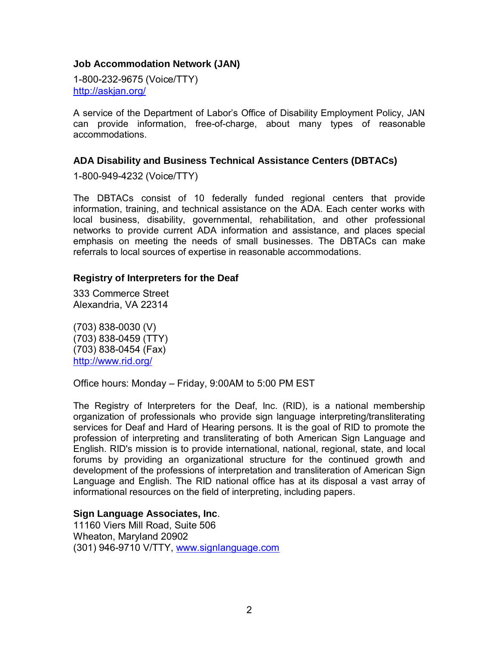## **Job Accommodation Network (JAN)**

1-800-232-9675 (Voice/TTY) <http://askjan.org/>

A service of the Department of Labor's Office of Disability Employment Policy, JAN can provide information, free-of-charge, about many types of reasonable accommodations.

## **ADA Disability and Business Technical Assistance Centers (DBTACs)**

1-800-949-4232 (Voice/TTY)

The DBTACs consist of 10 federally funded regional centers that provide information, training, and technical assistance on the ADA. Each center works with local business, disability, governmental, rehabilitation, and other professional networks to provide current ADA information and assistance, and places special emphasis on meeting the needs of small businesses. The DBTACs can make referrals to local sources of expertise in reasonable accommodations.

#### **Registry of Interpreters for the Deaf**

333 Commerce Street Alexandria, VA 22314

(703) 838-0030 (V) (703) 838-0459 (TTY) (703) 838-0454 (Fax) <http://www.rid.org/>

Office hours: Monday – Friday, 9:00AM to 5:00 PM EST

The Registry of Interpreters for the Deaf, Inc. (RID), is a national membership organization of professionals who provide sign language interpreting/transliterating services for Deaf and Hard of Hearing persons. It is the goal of RID to promote the profession of interpreting and transliterating of both American Sign Language and English. RID's mission is to provide international, national, regional, state, and local forums by providing an organizational structure for the continued growth and development of the professions of interpretation and transliteration of American Sign Language and English. The RID national office has at its disposal a vast array of informational resources on the field of interpreting, including papers.

## **Sign Language Associates, Inc**.

11160 Viers Mill Road, Suite 506 Wheaton, Maryland 20902 (301) 946-9710 V/TTY, [www.signlanguage.com](http://www.signlanguage.com/)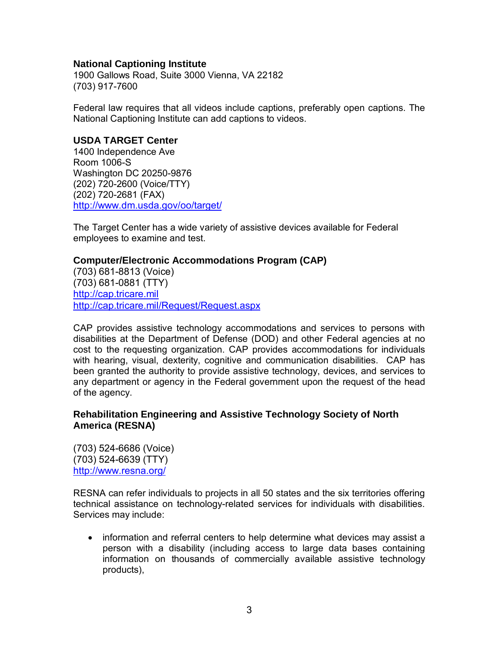### **National Captioning Institute**

1900 Gallows Road, Suite 3000 Vienna, VA 22182 (703) 917-7600

Federal law requires that all videos include captions, preferably open captions. The National Captioning Institute can add captions to videos.

#### **USDA TARGET Center**

1400 Independence Ave Room 1006-S Washington DC 20250-9876 (202) 720-2600 (Voice/TTY) (202) 720-2681 (FAX) http://www.dm.usda.gov/oo/target/

The Target Center has a wide variety of assistive devices available for Federal employees to examine and test.

#### **Computer/Electronic Accommodations Program (CAP)**

(703) 681-8813 (Voice) (703) 681-0881 (TTY) [http://cap.tricare.mil](http://cap.tricare.mil/)  <http://cap.tricare.mil/Request/Request.aspx>

CAP provides assistive technology accommodations and services to persons with disabilities at the Department of Defense (DOD) and other Federal agencies at no cost to the requesting organization. CAP provides accommodations for individuals with hearing, visual, dexterity, cognitive and communication disabilities. CAP has been granted the authority to provide assistive technology, devices, and services to any department or agency in the Federal government upon the request of the head of the agency.

## **Rehabilitation Engineering and Assistive Technology Society of North America (RESNA)**

(703) 524-6686 (Voice) (703) 524-6639 (TTY) <http://www.resna.org/>

RESNA can refer individuals to projects in all 50 states and the six territories offering technical assistance on technology-related services for individuals with disabilities. Services may include:

• information and referral centers to help determine what devices may assist a person with a disability (including access to large data bases containing information on thousands of commercially available assistive technology products),